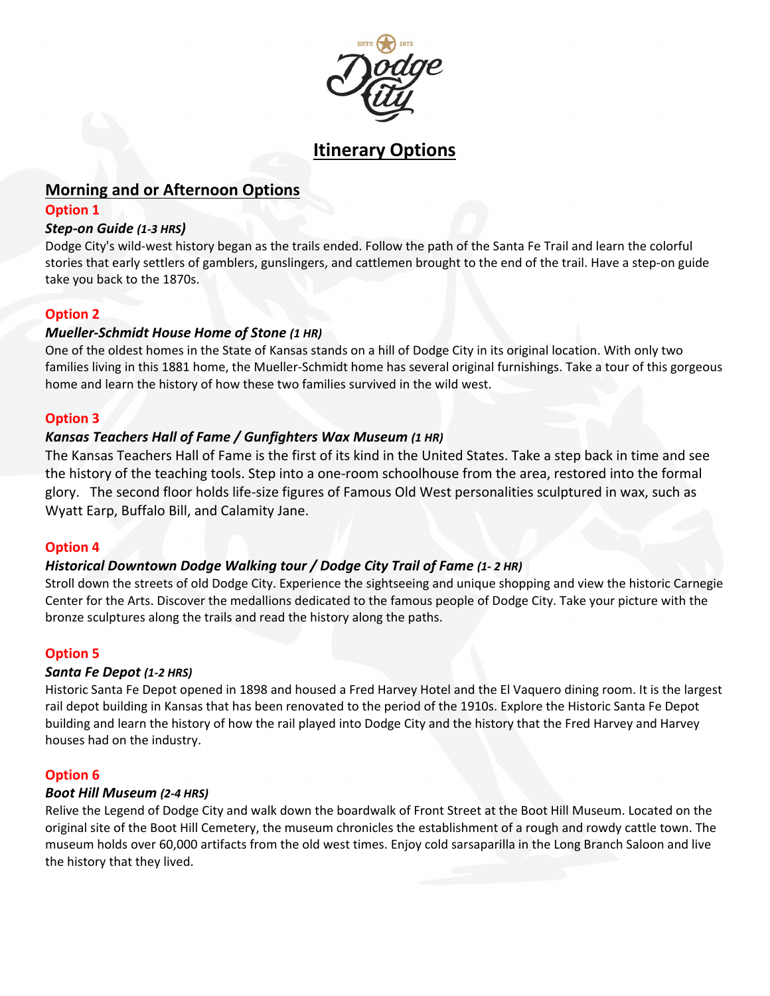

# **Itinerary Options**

# **Morning and or Afternoon Options**

#### **Option 1**

#### *Step-on Guide (1-3 HRS)*

Dodge City's wild-west history began as the trails ended. Follow the path of the Santa Fe Trail and learn the colorful stories that early settlers of gamblers, gunslingers, and cattlemen brought to the end of the trail. Have a step-on guide take you back to the 1870s.

### **Option 2**

# *Mueller-Schmidt House Home of Stone (1 HR)*

One of the oldest homes in the State of Kansas stands on a hill of Dodge City in its original location. With only two families living in this 1881 home, the Mueller-Schmidt home has several original furnishings. Take a tour of this gorgeous home and learn the history of how these two families survived in the wild west.

#### **Option 3**

### *Kansas Teachers Hall of Fame / Gunfighters Wax Museum (1 HR)*

The Kansas Teachers Hall of Fame is the first of its kind in the United States. Take a step back in time and see the history of the teaching tools. Step into a one-room schoolhouse from the area, restored into the formal glory. The second floor holds life-size figures of Famous Old West personalities sculptured in wax, such as Wyatt Earp, Buffalo Bill, and Calamity Jane.

#### **Option 4**

# *Historical Downtown Dodge Walking tour / Dodge City Trail of Fame (1- 2 HR)*

Stroll down the streets of old Dodge City. Experience the sightseeing and unique shopping and view the historic Carnegie Center for the Arts. Discover the medallions dedicated to the famous people of Dodge City. Take your picture with the bronze sculptures along the trails and read the history along the paths.

#### **Option 5**

#### *Santa Fe Depot (1-2 HRS)*

Historic Santa Fe Depot opened in 1898 and housed a Fred Harvey Hotel and the El Vaquero dining room. It is the largest rail depot building in Kansas that has been renovated to the period of the 1910s. Explore the Historic Santa Fe Depot building and learn the history of how the rail played into Dodge City and the history that the Fred Harvey and Harvey houses had on the industry.

#### **Option 6**

#### *Boot Hill Museum (2-4 HRS)*

Relive the Legend of Dodge City and walk down the boardwalk of Front Street at the Boot Hill Museum. Located on the original site of the Boot Hill Cemetery, the museum chronicles the establishment of a rough and rowdy cattle town. The museum holds over 60,000 artifacts from the old west times. Enjoy cold sarsaparilla in the Long Branch Saloon and live the history that they lived.